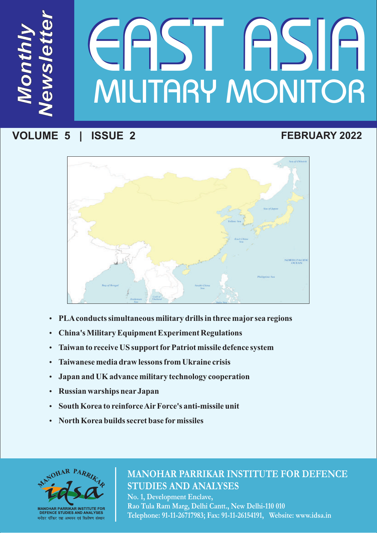# *ws le te* MILITARY MONITOR IESTE

# **VOLUME 5 | ISSUE 2**

*M*

*N*

*e*

*t*

*<sup>r</sup>*

*on*

*th*

*ly* 

# **FEBRUARY 2022**



- ??**PLAconducts simultaneous military drills in three major sea regions**
- 
- ?**China's Military Equipment Experiment Regulations Taiwan to receive US support for Patriot missile defence system • Taiwanese media draw lessons from Ukraine crisis**
- 
- ?**Taiwanese media draw lessons from Ukraine crisis** ?**Japan and UK advance military technology cooperation**
- 
- ?**Russian warships near Japan**  • South Korea to reinforce Air Force's anti-missile unit<br>• North Korea builds secret base for missiles
- **North Korea builds secret base formissiles**



# **MANOHAR PARRIKAR INSTITUTE FOR DEFENCE STUDIES AND ANALYSES**

**No. 1, Development Enclave, Rao Tula Ram Marg, Delhi Cantt., New Delhi-110 010 Telephone: 91-11-26717983; Fax: 91-11-26154191, Website: www.idsa.in**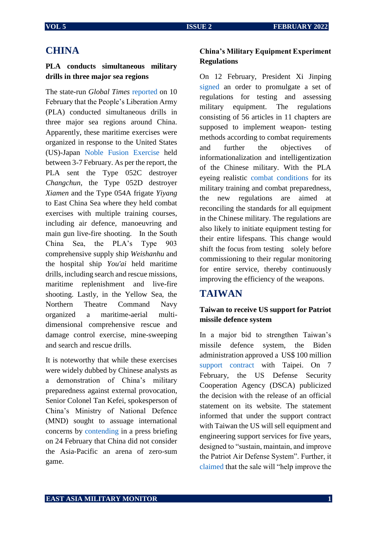#### **CHINA**

#### **PLA conducts simultaneous military drills in three major sea regions**

The state-run *Global Times* [reported](https://www.globaltimes.cn/page/202202/1251995.shtml) on 10 February that the People's Liberation Army (PLA) conducted simultaneous drills in three major sea regions around China. Apparently, these maritime exercises were organized in response to the United States (US)-Japan [Noble Fusion Exercise](https://www.janes.com/defence-news/news-detail/japan-us-hone-combined-naval-expeditionary-capabilities-at-exercise-noble-fusion) held between 3-7 February. As per the report, the PLA sent the Type 052C destroyer *Changchun*, the Type 052D destroyer *Xiamen* and the Type 054A frigate *Yiyang* to East China Sea where they held combat exercises with multiple training courses, including air defence, manoeuvring and main gun live-fire shooting. In the South China Sea, the PLA's Type 903 comprehensive supply ship *Weishanhu* and the hospital ship *You'ai* held maritime drills, including search and rescue missions, maritime replenishment and live-fire shooting. Lastly, in the Yellow Sea, the Northern Theatre Command Navy organized a maritime-aerial multidimensional comprehensive rescue and damage control exercise, mine-sweeping and search and rescue drills.

It is noteworthy that while these exercises were widely dubbed by Chinese analysts as a demonstration of China's military preparedness against external provocation, Senior Colonel Tan Kefei, spokesperson of China's Ministry of National Defence (MND) sought to assuage international concerns by [contending](http://eng.chinamil.com.cn/view/2022-02/24/content_10135091.htm) in a press briefing on 24 February that China did not consider the Asia-Pacific an arena of zero-sum game.

#### **China's Military Equipment Experiment Regulations**

On 12 February, President Xi Jinping [signed](http://eng.chinamil.com.cn/view/2022-02/12/content_10131138.htm) an order to promulgate a set of regulations for testing and assessing military equipment. The regulations consisting of 56 articles in 11 chapters are supposed to implement weapon- testing methods according to combat requirements and further the objectives of informationalization and intelligentization of the Chinese military. With the PLA eyeing realistic [combat conditions](https://www.globaltimes.cn/page/202202/1252143.shtml) for its military training and combat preparedness, the new regulations are aimed at reconciling the standards for all equipment in the Chinese military. The regulations are also likely to initiate equipment testing for their entire lifespans. This change would shift the focus from testing solely before commissioning to their regular monitoring for entire service, thereby continuously improving the efficiency of the weapons.

#### **TAIWAN**

#### **Taiwan to receive US support for Patriot missile defence system**

In a major bid to strengthen Taiwan's missile defence system, the Biden administration approved a US\$ 100 million support [contract](https://www.dsca.mil/press-media/major-arms-sales/taipei-economic-and-cultural-representative-office-united-states-21) with Taipei. On 7 February, the US Defense Security Cooperation Agency (DSCA) publicized the decision with the release of an official statement on its website. The statement informed that under the support contract with Taiwan the US will sell equipment and engineering support services for five years, designed to "sustain, maintain, and improve the Patriot Air Defense System". Further, it [claimed](https://nationalinterest.org/blog/buzz/state-department-approves-100-million-patriot-contract-taiwan-200426) that the sale will "help improve the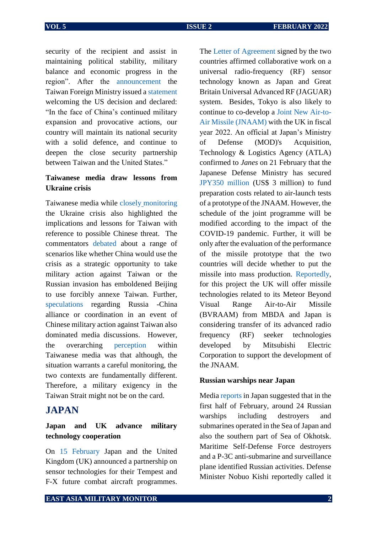The [Letter of Agreement](https://www.defensenews.com/global/europe/2022/02/15/new-warplane-sensor-team-boosts-uk-japan-defense-agenda/) signed by the two

security of the recipient and assist in maintaining political stability, military balance and economic progress in the region". After the [announcement](https://www.aljazeera.com/news/2022/2/8/us-approves-support-deal-for-taiwan-patriot-missiles) the Taiwan Foreign Ministry issued a [statement](https://www.taipeitimes.com/News/front/archives/2022/02/09/2003772795) welcoming the US decision and declared: "In the face of China's continued military expansion and provocative actions, our country will maintain its national security with a solid defence, and continue to deepen the close security partnership between Taiwan and the United States."

#### **Taiwanese media draw lessons from Ukraine crisis**

Taiwanese media while closely [monitoring](https://www.taiwannews.com.tw/en/news/4454220) the Ukraine crisis also highlighted the implications and lessons for Taiwan with reference to possible Chinese threat. The commentators [debated](https://www.taiwannews.com.tw/en/news/4454220) about a range of scenarios like whether China would use the crisis as a strategic opportunity to take military action against Taiwan or the Russian invasion has emboldened Beijing to use forcibly annexe Taiwan. Further, [speculations](https://www.taiwannews.com.tw/en/news/4454220) regarding Russia -China alliance or coordination in an event of Chinese military action against Taiwan also dominated media discussions. However, the overarching [perception](https://www.taiwannews.com.tw/en/news/4454220) within Taiwanese media was that although, the situation warrants a careful monitoring, the two contexts are fundamentally different. Therefore, a military exigency in the Taiwan Strait might not be on the card.

### **JAPAN**

#### **Japan and UK advance military technology cooperation**

On [15 February](https://eurasiantimes.com/uk-japan-to-co-develop-joint-new-air-to-air-missile-jnaam-tokyo/) Japan and the United Kingdom (UK) announced a partnership on sensor technologies for their Tempest and F-X future combat aircraft programmes.

countries affirmed collaborative work on a universal radio-frequency (RF) sensor technology known as Japan and Great Britain Universal Advanced RF (JAGUAR) system. Besides, Tokyo is also likely to continue to co-develop a [Joint New Air-to-](https://www.janes.com/defence-news/news-detail/japan-approves-jnaam-co-development)[Air Missile \(JNAAM\)](https://www.janes.com/defence-news/news-detail/japan-approves-jnaam-co-development) with the UK in fiscal year 2022. An official at Japan's Ministry of Defense (MOD)'s Acquisition, Technology & Logistics Agency (ATLA) confirmed to *Janes* on 21 February that the Japanese Defense Ministry has secured [JPY350 million](https://www.janes.com/defence-news/news-detail/japan-approves-jnaam-co-development) (US\$ 3 million) to fund preparation costs related to air-launch tests of a prototype of the JNAAM. However, the schedule of the joint programme will be modified according to the impact of the COVID-19 pandemic. Further, it will be only after the evaluation of the performance of the missile prototype that the two countries will decide whether to put the missile into mass production. [Reportedly,](https://www.janes.com/defence-news/news-detail/japan-approves-jnaam-co-development) for this project the UK will offer missile technologies related to its Meteor Beyond Visual Range Air-to-Air Missile (BVRAAM) from MBDA and Japan is considering transfer of its advanced radio frequency (RF) seeker technologies developed by Mitsubishi Electric Corporation to support the development of the JNAAM. **Russian warships near Japan** 

Medi[a reports](https://www.japantimes.co.jp/news/2022/02/15/national/russian-navy-sea-of-japan/) in Japan suggested that in the first half of February, around 24 Russian warships including destroyers and submarines operated in the Sea of Japan and also the southern part of Sea of Okhotsk. Maritime Self-Defense Force destroyers and a P-3C anti-submarine and surveillance plane identified Russian activities. Defense Minister Nobuo Kishi reportedly called it